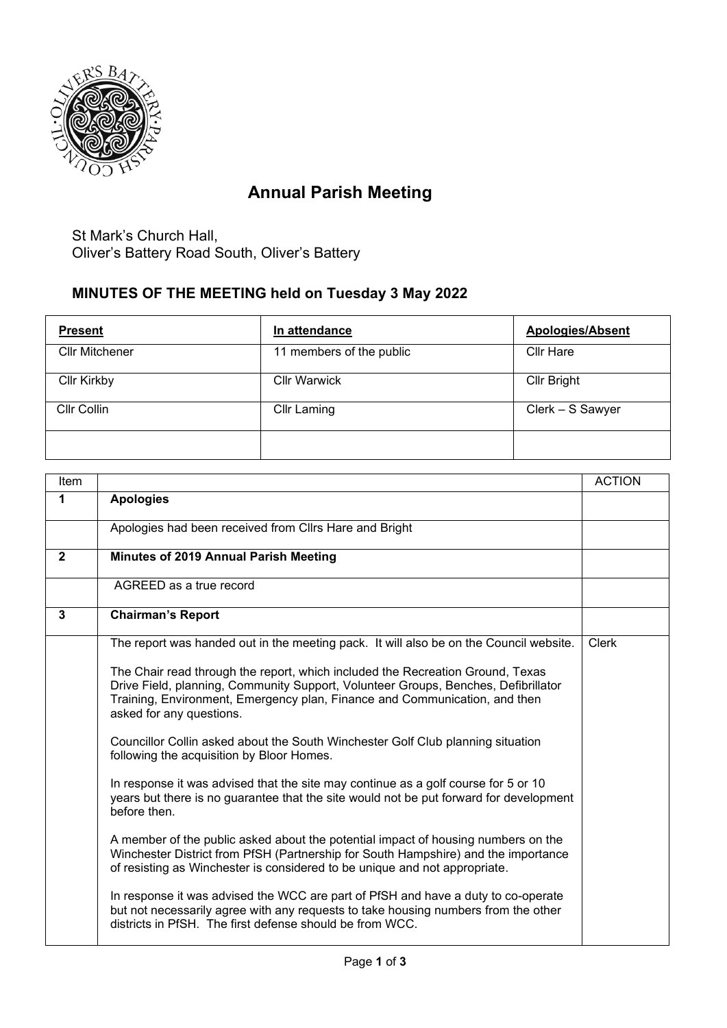

## **Annual Parish Meeting**

St Mark's Church Hall, Oliver's Battery Road South, Oliver's Battery

## **MINUTES OF THE MEETING held on Tuesday 3 May 2022**

| <b>Present</b>        | In attendance            | <b>Apologies/Absent</b> |
|-----------------------|--------------------------|-------------------------|
| <b>Cllr Mitchener</b> | 11 members of the public | <b>Cllr Hare</b>        |
| <b>Cllr Kirkby</b>    | <b>Cllr Warwick</b>      | <b>Cllr Bright</b>      |
| Cllr Collin           | <b>Cllr Laming</b>       | Clerk - S Sawyer        |
|                       |                          |                         |

| Item         |                                                                                                                                                                                                                                                                                | <b>ACTION</b> |
|--------------|--------------------------------------------------------------------------------------------------------------------------------------------------------------------------------------------------------------------------------------------------------------------------------|---------------|
| 1            | <b>Apologies</b>                                                                                                                                                                                                                                                               |               |
|              | Apologies had been received from Cllrs Hare and Bright                                                                                                                                                                                                                         |               |
| $\mathbf{2}$ | <b>Minutes of 2019 Annual Parish Meeting</b>                                                                                                                                                                                                                                   |               |
|              | AGREED as a true record                                                                                                                                                                                                                                                        |               |
| 3            | <b>Chairman's Report</b>                                                                                                                                                                                                                                                       |               |
|              | The report was handed out in the meeting pack. It will also be on the Council website.                                                                                                                                                                                         | <b>Clerk</b>  |
|              | The Chair read through the report, which included the Recreation Ground, Texas<br>Drive Field, planning, Community Support, Volunteer Groups, Benches, Defibrillator<br>Training, Environment, Emergency plan, Finance and Communication, and then<br>asked for any questions. |               |
|              | Councillor Collin asked about the South Winchester Golf Club planning situation<br>following the acquisition by Bloor Homes.                                                                                                                                                   |               |
|              | In response it was advised that the site may continue as a golf course for 5 or 10<br>years but there is no guarantee that the site would not be put forward for development<br>before then.                                                                                   |               |
|              | A member of the public asked about the potential impact of housing numbers on the<br>Winchester District from PfSH (Partnership for South Hampshire) and the importance<br>of resisting as Winchester is considered to be unique and not appropriate.                          |               |
|              | In response it was advised the WCC are part of PfSH and have a duty to co-operate<br>but not necessarily agree with any requests to take housing numbers from the other<br>districts in PfSH. The first defense should be from WCC.                                            |               |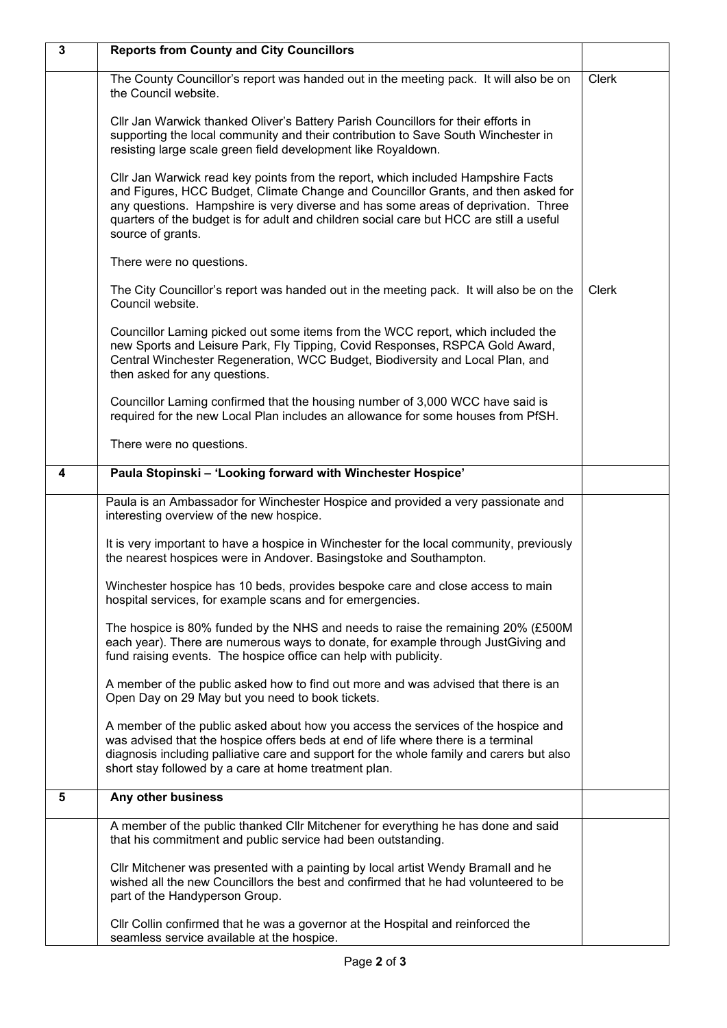| $\mathbf{3}$ | <b>Reports from County and City Councillors</b>                                                                                                                                                                                                                                                                                                                            |              |
|--------------|----------------------------------------------------------------------------------------------------------------------------------------------------------------------------------------------------------------------------------------------------------------------------------------------------------------------------------------------------------------------------|--------------|
|              | The County Councillor's report was handed out in the meeting pack. It will also be on<br>the Council website.                                                                                                                                                                                                                                                              | <b>Clerk</b> |
|              | Cllr Jan Warwick thanked Oliver's Battery Parish Councillors for their efforts in<br>supporting the local community and their contribution to Save South Winchester in<br>resisting large scale green field development like Royaldown.                                                                                                                                    |              |
|              | Cllr Jan Warwick read key points from the report, which included Hampshire Facts<br>and Figures, HCC Budget, Climate Change and Councillor Grants, and then asked for<br>any questions. Hampshire is very diverse and has some areas of deprivation. Three<br>quarters of the budget is for adult and children social care but HCC are still a useful<br>source of grants. |              |
|              | There were no questions.                                                                                                                                                                                                                                                                                                                                                   |              |
|              | The City Councillor's report was handed out in the meeting pack. It will also be on the<br>Council website.                                                                                                                                                                                                                                                                | <b>Clerk</b> |
|              | Councillor Laming picked out some items from the WCC report, which included the<br>new Sports and Leisure Park, Fly Tipping, Covid Responses, RSPCA Gold Award,<br>Central Winchester Regeneration, WCC Budget, Biodiversity and Local Plan, and<br>then asked for any questions.                                                                                          |              |
|              | Councillor Laming confirmed that the housing number of 3,000 WCC have said is<br>required for the new Local Plan includes an allowance for some houses from PfSH.                                                                                                                                                                                                          |              |
|              | There were no questions.                                                                                                                                                                                                                                                                                                                                                   |              |
| 4            | Paula Stopinski - 'Looking forward with Winchester Hospice'                                                                                                                                                                                                                                                                                                                |              |
|              | Paula is an Ambassador for Winchester Hospice and provided a very passionate and<br>interesting overview of the new hospice.                                                                                                                                                                                                                                               |              |
|              | It is very important to have a hospice in Winchester for the local community, previously<br>the nearest hospices were in Andover. Basingstoke and Southampton.                                                                                                                                                                                                             |              |
|              | Winchester hospice has 10 beds, provides bespoke care and close access to main<br>hospital services, for example scans and for emergencies.                                                                                                                                                                                                                                |              |
|              | The hospice is 80% funded by the NHS and needs to raise the remaining 20% (£500M<br>each year). There are numerous ways to donate, for example through JustGiving and<br>fund raising events. The hospice office can help with publicity.                                                                                                                                  |              |
|              | A member of the public asked how to find out more and was advised that there is an<br>Open Day on 29 May but you need to book tickets.                                                                                                                                                                                                                                     |              |
|              | A member of the public asked about how you access the services of the hospice and<br>was advised that the hospice offers beds at end of life where there is a terminal<br>diagnosis including palliative care and support for the whole family and carers but also<br>short stay followed by a care at home treatment plan.                                                |              |
| 5            | Any other business                                                                                                                                                                                                                                                                                                                                                         |              |
|              | A member of the public thanked Cllr Mitchener for everything he has done and said<br>that his commitment and public service had been outstanding.                                                                                                                                                                                                                          |              |
|              | CIIr Mitchener was presented with a painting by local artist Wendy Bramall and he<br>wished all the new Councillors the best and confirmed that he had volunteered to be<br>part of the Handyperson Group.                                                                                                                                                                 |              |
|              | Cllr Collin confirmed that he was a governor at the Hospital and reinforced the<br>seamless service available at the hospice.                                                                                                                                                                                                                                              |              |